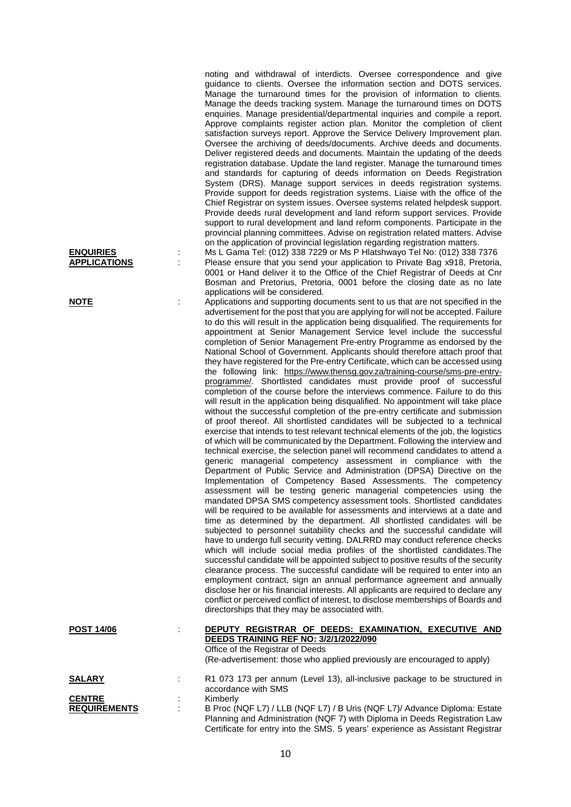Manage the turnaround times for the provision of information to clients. Manage the deeds tracking system. Manage the turnaround times on DOTS enquiries. Manage presidential/departmental inquiries and compile a report. Approve complaints register action plan. Monitor the completion of client satisfaction surveys report. Approve the Service Delivery Improvement plan. Oversee the archiving of deeds/documents. Archive deeds and documents. Deliver registered deeds and documents. Maintain the updating of the deeds registration database. Update the land register. Manage the turnaround times and standards for capturing of deeds information on Deeds Registration System (DRS). Manage support services in deeds registration systems. Provide support for deeds registration systems. Liaise with the office of the Chief Registrar on system issues. Oversee systems related helpdesk support. Provide deeds rural development and land reform support services. Provide support to rural development and land reform components. Participate in the provincial planning committees. Advise on registration related matters. Advise on the application of provincial legislation regarding registration matters. **ENQUIRIES** : Ms L Gama Tel: (012) 338 7229 or Ms P Hlatshwayo Tel No: (012) 338 7376 Please ensure that you send your application to Private Bag x918, Pretoria, 0001 or Hand deliver it to the Office of the Chief Registrar of Deeds at Cnr Bosman and Pretorius, Pretoria, 0001 before the closing date as no late applications will be considered. **NOTE** : Applications and supporting documents sent to us that are not specified in the advertisement for the post that you are applying for will not be accepted. Failure to do this will result in the application being disqualified. The requirements for appointment at Senior Management Service level include the successful completion of Senior Management Pre-entry Programme as endorsed by the National School of Government. Applicants should therefore attach proof that they have registered for the Pre-entry Certificate, which can be accessed using the following link: https://www.thensg.gov.za/training-course/sms-pre-entryprogramme/. Shortlisted candidates must provide proof of successful completion of the course before the interviews commence. Failure to do this will result in the application being disqualified. No appointment will take place without the successful completion of the pre-entry certificate and submission of proof thereof. All shortlisted candidates will be subjected to a technical exercise that intends to test relevant technical elements of the job, the logistics of which will be communicated by the Department. Following the interview and technical exercise, the selection panel will recommend candidates to attend a generic managerial competency assessment in compliance with the Department of Public Service and Administration (DPSA) Directive on the Implementation of Competency Based Assessments. The competency assessment will be testing generic managerial competencies using the mandated DPSA SMS competency assessment tools. Shortlisted candidates will be required to be available for assessments and interviews at a date and time as determined by the department. All shortlisted candidates will be subjected to personnel suitability checks and the successful candidate will have to undergo full security vetting. DALRRD may conduct reference checks which will include social media profiles of the shortlisted candidates.The successful candidate will be appointed subject to positive results of the security clearance process. The successful candidate will be required to enter into an employment contract, sign an annual performance agreement and annually disclose her or his financial interests. All applicants are required to declare any conflict or perceived conflict of interest, to disclose memberships of Boards and directorships that they may be associated with. **POST 14/06** : **DEPUTY REGISTRAR OF DEEDS: EXAMINATION, EXECUTIVE AND DEEDS TRAINING REF NO: 3/2/1/2022/090** Office of the Registrar of Deeds (Re-advertisement: those who applied previously are encouraged to apply) **SALARY** : R1 073 173 per annum (Level 13), all-inclusive package to be structured in accordance with SMS **CENTRE** : Kimberly<br> **REQUIREMENTS** : B Proc () B Proc (NQF L7) / LLB (NQF L7) / B Uris (NQF L7)/ Advance Diploma: Estate Planning and Administration (NQF 7) with Diploma in Deeds Registration Law Certificate for entry into the SMS. 5 years' experience as Assistant Registrar

noting and withdrawal of interdicts. Oversee correspondence and give guidance to clients. Oversee the information section and DOTS services.